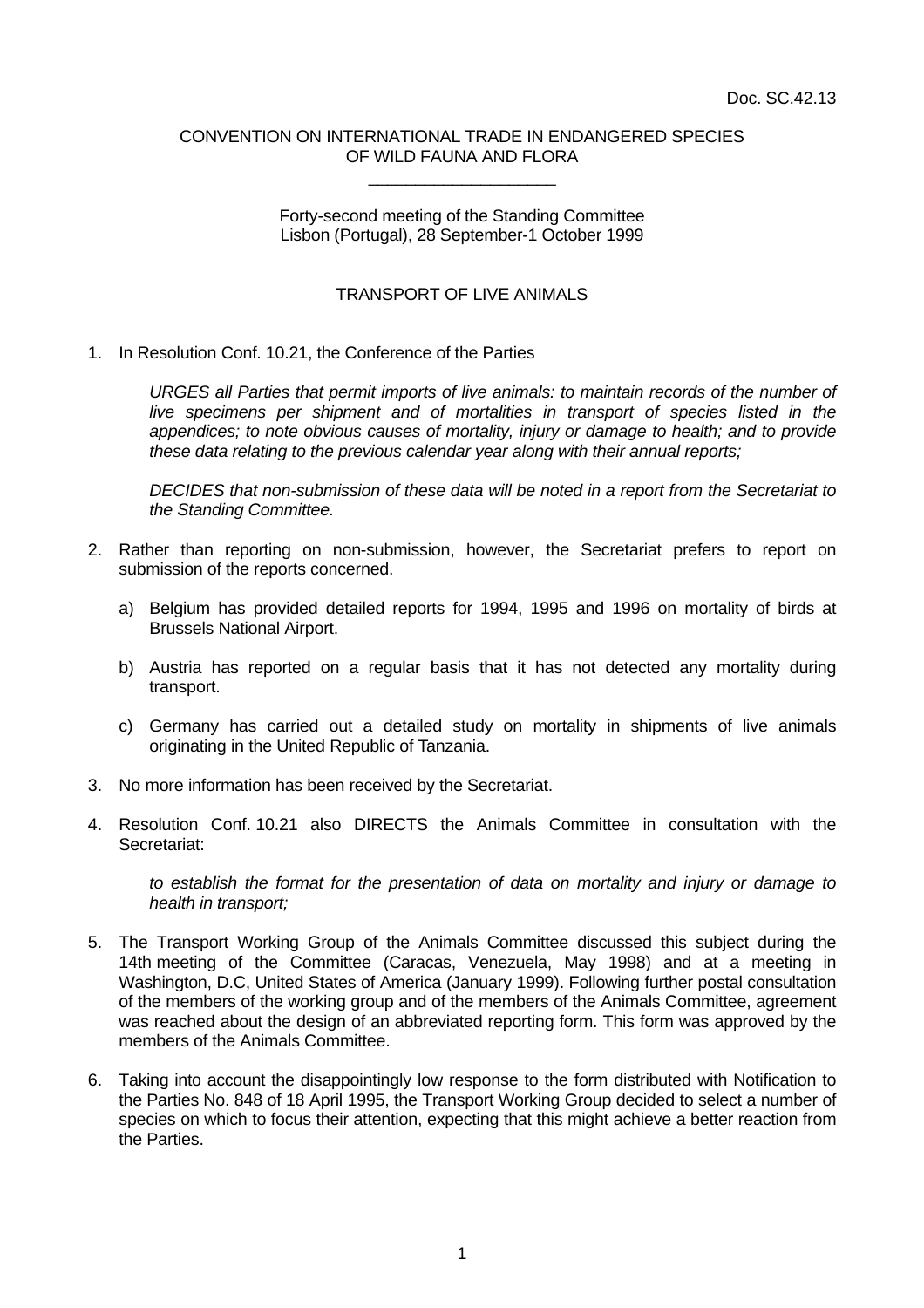#### CONVENTION ON INTERNATIONAL TRADE IN ENDANGERED SPECIES OF WILD FAUNA AND FLORA \_\_\_\_\_\_\_\_\_\_\_\_\_\_\_\_\_\_\_\_

#### Forty-second meeting of the Standing Committee Lisbon (Portugal), 28 September-1 October 1999

## TRANSPORT OF LIVE ANIMALS

1. In Resolution Conf. 10.21, the Conference of the Parties

*URGES all Parties that permit imports of live animals: to maintain records of the number of live specimens per shipment and of mortalities in transport of species listed in the appendices; to note obvious causes of mortality, injury or damage to health; and to provide these data relating to the previous calendar year along with their annual reports;*

*DECIDES that non-submission of these data will be noted in a report from the Secretariat to the Standing Committee.*

- 2. Rather than reporting on non-submission, however, the Secretariat prefers to report on submission of the reports concerned.
	- a) Belgium has provided detailed reports for 1994, 1995 and 1996 on mortality of birds at Brussels National Airport.
	- b) Austria has reported on a regular basis that it has not detected any mortality during transport.
	- c) Germany has carried out a detailed study on mortality in shipments of live animals originating in the United Republic of Tanzania.
- 3. No more information has been received by the Secretariat.
- 4. Resolution Conf. 10.21 also DIRECTS the Animals Committee in consultation with the Secretariat:

*to establish the format for the presentation of data on mortality and injury or damage to health in transport;*

- 5. The Transport Working Group of the Animals Committee discussed this subject during the 14th meeting of the Committee (Caracas, Venezuela, May 1998) and at a meeting in Washington, D.C, United States of America (January 1999). Following further postal consultation of the members of the working group and of the members of the Animals Committee, agreement was reached about the design of an abbreviated reporting form. This form was approved by the members of the Animals Committee.
- 6. Taking into account the disappointingly low response to the form distributed with Notification to the Parties No. 848 of 18 April 1995, the Transport Working Group decided to select a number of species on which to focus their attention, expecting that this might achieve a better reaction from the Parties.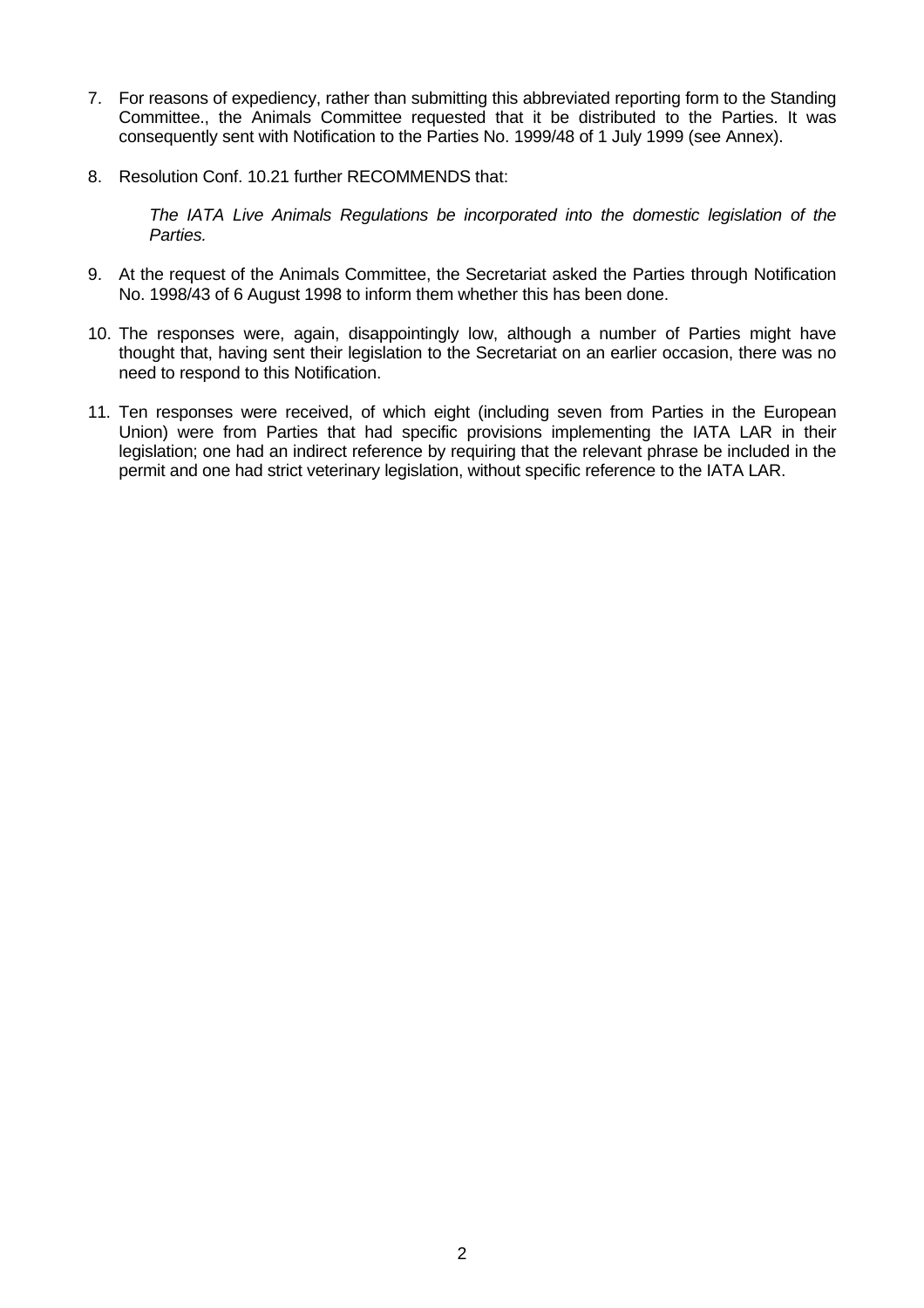- 7. For reasons of expediency, rather than submitting this abbreviated reporting form to the Standing Committee., the Animals Committee requested that it be distributed to the Parties. It was consequently sent with Notification to the Parties No. 1999/48 of 1 July 1999 (see Annex).
- 8. Resolution Conf. 10.21 further RECOMMENDS that:

*The IATA Live Animals Regulations be incorporated into the domestic legislation of the Parties.*

- 9. At the request of the Animals Committee, the Secretariat asked the Parties through Notification No. 1998/43 of 6 August 1998 to inform them whether this has been done.
- 10. The responses were, again, disappointingly low, although a number of Parties might have thought that, having sent their legislation to the Secretariat on an earlier occasion, there was no need to respond to this Notification.
- 11. Ten responses were received, of which eight (including seven from Parties in the European Union) were from Parties that had specific provisions implementing the IATA LAR in their legislation; one had an indirect reference by requiring that the relevant phrase be included in the permit and one had strict veterinary legislation, without specific reference to the IATA LAR.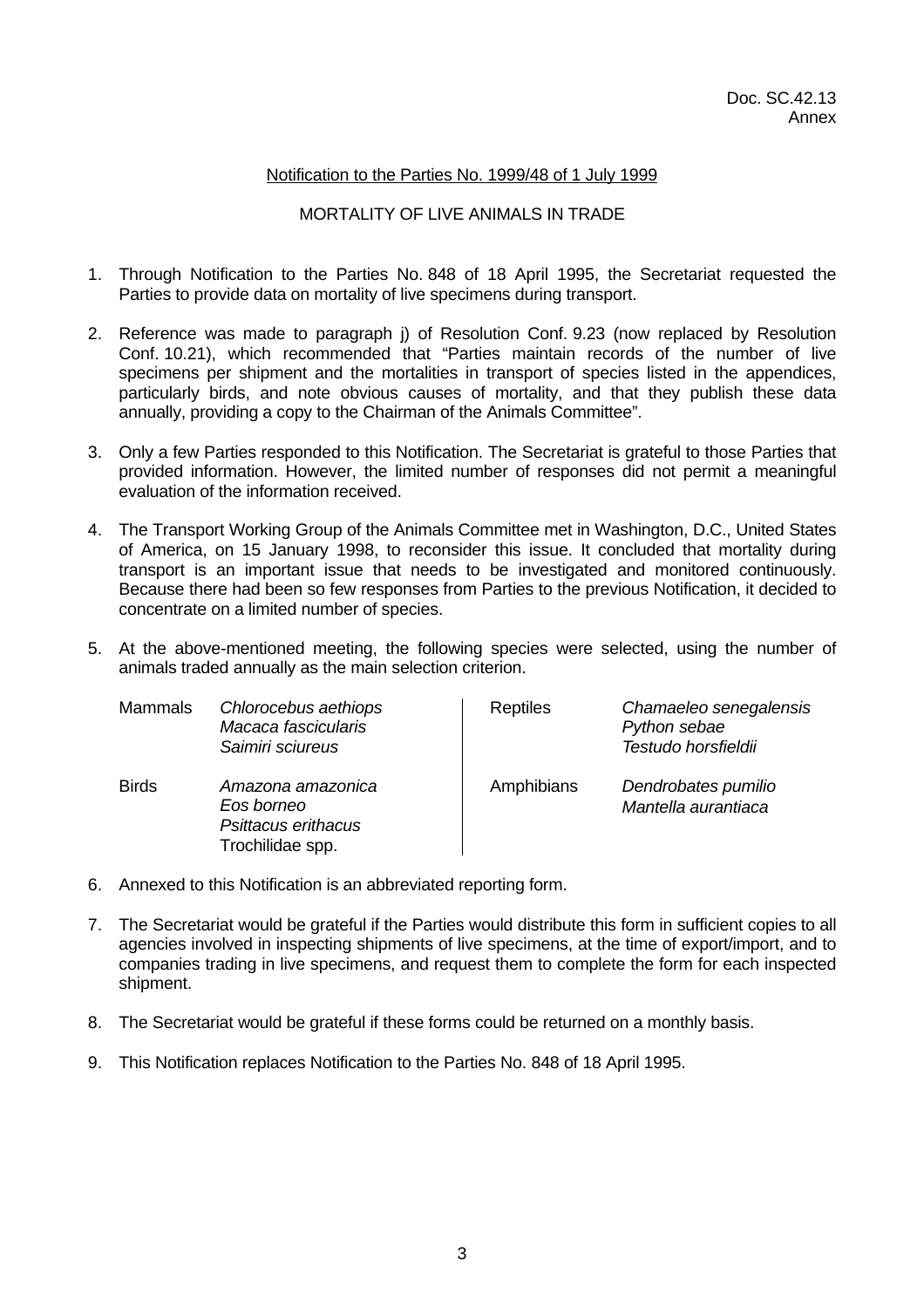#### Notification to the Parties No. 1999/48 of 1 July 1999

## MORTALITY OF LIVE ANIMALS IN TRADE

- 1. Through Notification to the Parties No. 848 of 18 April 1995, the Secretariat requested the Parties to provide data on mortality of live specimens during transport.
- 2. Reference was made to paragraph j) of Resolution Conf. 9.23 (now replaced by Resolution Conf. 10.21), which recommended that "Parties maintain records of the number of live specimens per shipment and the mortalities in transport of species listed in the appendices, particularly birds, and note obvious causes of mortality, and that they publish these data annually, providing a copy to the Chairman of the Animals Committee".
- 3. Only a few Parties responded to this Notification. The Secretariat is grateful to those Parties that provided information. However, the limited number of responses did not permit a meaningful evaluation of the information received.
- 4. The Transport Working Group of the Animals Committee met in Washington, D.C., United States of America, on 15 January 1998, to reconsider this issue. It concluded that mortality during transport is an important issue that needs to be investigated and monitored continuously. Because there had been so few responses from Parties to the previous Notification, it decided to concentrate on a limited number of species.
- 5. At the above-mentioned meeting, the following species were selected, using the number of animals traded annually as the main selection criterion.

| <b>Mammals</b> | Chlorocebus aethiops<br>Macaca fascicularis<br>Saimiri sciureus            | <b>Reptiles</b> | Chamaeleo senegalensis<br>Python sebae<br>Testudo horsfieldii |
|----------------|----------------------------------------------------------------------------|-----------------|---------------------------------------------------------------|
| <b>Birds</b>   | Amazona amazonica<br>Eos borneo<br>Psittacus erithacus<br>Trochilidae spp. | Amphibians      | Dendrobates pumilio<br>Mantella aurantiaca                    |

- 6. Annexed to this Notification is an abbreviated reporting form.
- 7. The Secretariat would be grateful if the Parties would distribute this form in sufficient copies to all agencies involved in inspecting shipments of live specimens, at the time of export/import, and to companies trading in live specimens, and request them to complete the form for each inspected shipment.
- 8. The Secretariat would be grateful if these forms could be returned on a monthly basis.
- 9. This Notification replaces Notification to the Parties No. 848 of 18 April 1995.